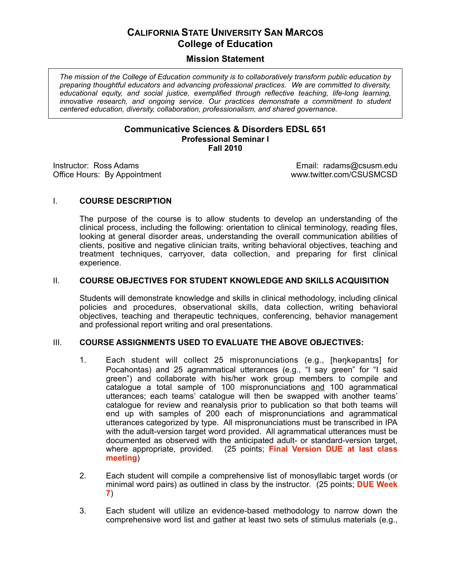# **CALIFORNIA STATE UNIVERSITY SAN MARCOS College of Education**

# **Mission Statement**

 *The mission of the College of Education community is to collaboratively transform public education by preparing thoughtful educators and advancing professional practices. We are committed to diversity, educational equity, and social justice, exemplified through reflective teaching, life-long learning,*  innovative research, and ongoing service. Our practices demonstrate a commitment to student  *centered education, diversity, collaboration, professionalism, and shared governance.* 

### **Communicative Sciences & Disorders EDSL 651 Professional Seminar I Fall 2010**

Instructor: Ross Adams

Office Hours: By Appointment **Washington COSUSMCSD** www.twitter.com/CSUSMCSD Email: radams@csusm.edu<br>www.twitter.com/CSUSMCSD

## I. **COURSE DESCRIPTION**

 The purpose of the course is to allow students to develop an understanding of the clinical process, including the following: orientation to clinical terminology, reading files, looking at general disorder areas, understanding the overall communication abilities of clients, positive and negative clinician traits, writing behavioral objectives, teaching and treatment techniques, carryover, data collection, and preparing for first clinical experience.

## **II. COURSE OBJECTIVES FOR STUDENT KNOWLEDGE AND SKILLS ACQUISITION**

 Students will demonstrate knowledge and skills in clinical methodology, including clinical policies and procedures, observational skills, data collection, writing behavioral objectives, teaching and therapeutic techniques, conferencing, behavior management and professional report writing and oral presentations.

# III. COURSE ASSIGNMENTS USED TO EVALUATE THE ABOVE OBJECTIVES:

- 1. Each student will collect 25 mispronunciations (e.g., [haŋkapantɪs] for Pocahontas) and 25 agrammatical utterances (e.g., "I say green" for "I said green") and collaborate with his/her work group members to compile and catalogue a total sample of 100 mispronunciations and 100 agrammatical utterances; each teams' catalogue will then be swapped with another teams' catalogue for review and reanalysis prior to publication so that both teams will end up with samples of 200 each of mispronunciations and agrammatical utterances categorized by type. All mispronunciations must be transcribed in IPA with the adult-version target word provided. All agrammatical utterances must be documented as observed with the anticipated adult- or standard-version target, where appropriate, provided. (25 points; **Final Version DUE at last class meeting**)
- 2. Each student will compile a comprehensive list of monosyllabic target words (or minimal word pairs) as outlined in class by the instructor. (25 points; **DUE Week 7**)
- 3. Each student will utilize an evidence-based methodology to narrow down the comprehensive word list and gather at least two sets of stimulus materials (e.g.,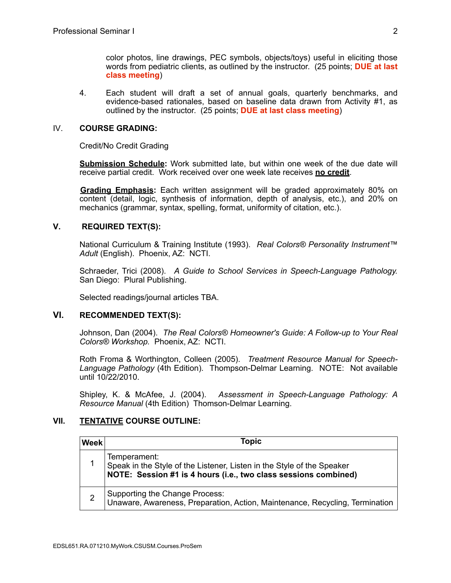color photos, line drawings, PEC symbols, objects/toys) useful in eliciting those words from pediatric clients, as outlined by the instructor. (25 points; **DUE at last class meeting**)

4. Each student will draft a set of annual goals, quarterly benchmarks, and evidence-based rationales, based on baseline data drawn from Activity #1, as outlined by the instructor. (25 points; **DUE at last class meeting**)

### IV. **COURSE GRADING:**

Credit/No Credit Grading

 **Submission Schedule:** Work submitted late, but within one week of the due date will receive partial credit. Work received over one week late receives **no credit**.

Grading Emphasis: Each written assignment will be graded approximately 80% on content (detail, logic, synthesis of information, depth of analysis, etc.), and 20% on mechanics (grammar, syntax, spelling, format, uniformity of citation, etc.).

### **V. REQUIRED TEXT(S):**

 National Curriculum & Training Institute (1993). *Real Colors® Personality Instrument™ Adult* (English). Phoenix, AZ: NCTI.

 Schraeder, Trici (2008). *A Guide to School Services in Speech-Language Pathology.*  San Diego: Plural Publishing.

Selected readings/journal articles TBA.

## **VI. RECOMMENDED TEXT(S):**

 Johnson, Dan (2004). *The Real Colors® Homeowner's Guide: A Follow-up to Your Real Colors® Workshop.* Phoenix, AZ: NCTI.

 Roth Froma & Worthington, Colleen (2005). *Treatment Resource Manual for Speech- Language Pathology* (4th Edition). Thompson-Delmar Learning. NOTE: Not available until 10/22/2010.

 Shipley, K. & McAfee, J. (2004). *Assessment in Speech-Language Pathology: A Resource Manual* (4th Edition) Thomson-Delmar Learning.

# **VII. TENTATIVE COURSE OUTLINE:**

| <b>Week</b>    | <b>Topic</b>                                                                                                                                              |
|----------------|-----------------------------------------------------------------------------------------------------------------------------------------------------------|
|                | Temperament:<br>Speak in the Style of the Listener, Listen in the Style of the Speaker<br>NOTE: Session #1 is 4 hours (i.e., two class sessions combined) |
| $\overline{2}$ | Supporting the Change Process:<br>Unaware, Awareness, Preparation, Action, Maintenance, Recycling, Termination                                            |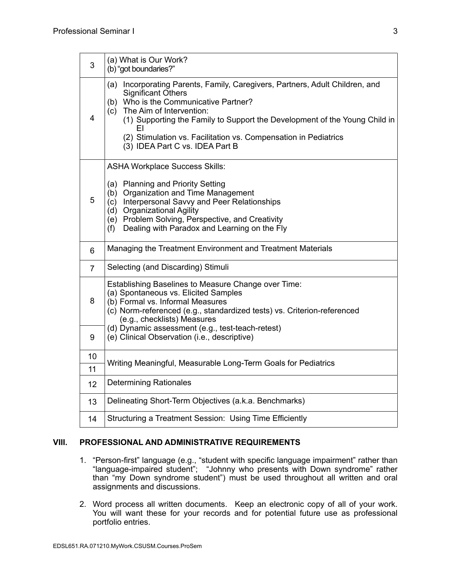| 3  | (a) What is Our Work?<br>(b) "got boundaries?"                                                                                                                                                                                                                                                                                                                                  |  |  |  |
|----|---------------------------------------------------------------------------------------------------------------------------------------------------------------------------------------------------------------------------------------------------------------------------------------------------------------------------------------------------------------------------------|--|--|--|
| 4  | (a) Incorporating Parents, Family, Caregivers, Partners, Adult Children, and<br><b>Significant Others</b><br>(b) Who is the Communicative Partner?<br>The Aim of Intervention:<br>(c)<br>(1) Supporting the Family to Support the Development of the Young Child in<br>FΙ<br>(2) Stimulation vs. Facilitation vs. Compensation in Pediatrics<br>(3) IDEA Part C vs. IDEA Part B |  |  |  |
| 5  | <b>ASHA Workplace Success Skills:</b><br>(a) Planning and Priority Setting<br>(b) Organization and Time Management<br>Interpersonal Savvy and Peer Relationships<br>(c)<br><b>Organizational Agility</b><br>(d)<br>(e) Problem Solving, Perspective, and Creativity<br>Dealing with Paradox and Learning on the Fly<br>(f)                                                      |  |  |  |
| 6  | Managing the Treatment Environment and Treatment Materials                                                                                                                                                                                                                                                                                                                      |  |  |  |
| 7  | Selecting (and Discarding) Stimuli                                                                                                                                                                                                                                                                                                                                              |  |  |  |
| 8  | Establishing Baselines to Measure Change over Time:<br>(a) Spontaneous vs. Elicited Samples<br>(b) Formal vs. Informal Measures<br>(c) Norm-referenced (e.g., standardized tests) vs. Criterion-referenced<br>(e.g., checklists) Measures                                                                                                                                       |  |  |  |
| 9  | (d) Dynamic assessment (e.g., test-teach-retest)<br>(e) Clinical Observation (i.e., descriptive)                                                                                                                                                                                                                                                                                |  |  |  |
| 10 |                                                                                                                                                                                                                                                                                                                                                                                 |  |  |  |
| 11 | Writing Meaningful, Measurable Long-Term Goals for Pediatrics                                                                                                                                                                                                                                                                                                                   |  |  |  |
| 12 | <b>Determining Rationales</b>                                                                                                                                                                                                                                                                                                                                                   |  |  |  |
| 13 | Delineating Short-Term Objectives (a.k.a. Benchmarks)                                                                                                                                                                                                                                                                                                                           |  |  |  |
| 14 | Structuring a Treatment Session: Using Time Efficiently                                                                                                                                                                                                                                                                                                                         |  |  |  |

### **VIII. PROFESSIONAL AND ADMINISTRATIVE REQUIREMENTS**

- 1. "Person-first" language (e.g., "student with specific language impairment" rather than "language-impaired student"; "Johnny who presents with Down syndrome" rather than "my Down syndrome student") must be used throughout all written and oral assignments and discussions.
- 2. Word process all written documents. Keep an electronic copy of all of your work. You will want these for your records and for potential future use as professional portfolio entries.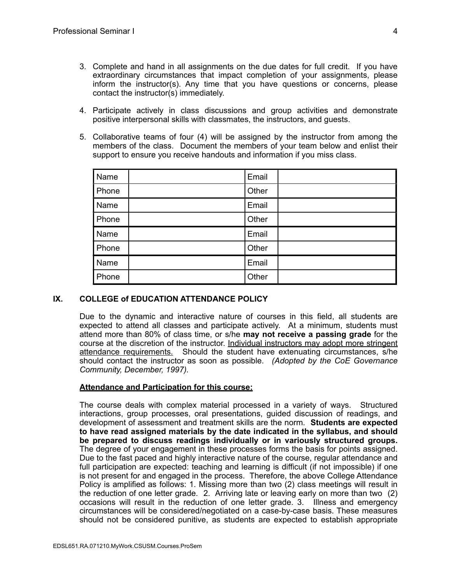- 3. Complete and hand in all assignments on the due dates for full credit. If you have extraordinary circumstances that impact completion of your assignments, please inform the instructor(s). Any time that you have questions or concerns, please contact the instructor(s) immediately.
- 4. Participate actively in class discussions and group activities and demonstrate positive interpersonal skills with classmates, the instructors, and guests.
- 5. Collaborative teams of four (4) will be assigned by the instructor from among the members of the class. Document the members of your team below and enlist their support to ensure you receive handouts and information if you miss class.

| Name  | Email |  |
|-------|-------|--|
| Phone | Other |  |
| Name  | Email |  |
| Phone | Other |  |
| Name  | Email |  |
| Phone | Other |  |
| Name  | Email |  |
| Phone | Other |  |

# **IX. COLLEGE of EDUCATION ATTENDANCE POLICY**

 Due to the dynamic and interactive nature of courses in this field, all students are expected to attend all classes and participate actively. At a minimum, students must attend more than 80% of class time, or s/he **may not receive a passing grade** for the course at the discretion of the instructor. Individual instructors may adopt more stringent attendance requirements. Should the student have extenuating circumstances, s/he should contact the instructor as soon as possible. *(Adopted by the CoE Governance Community, December, 1997).* 

### **Attendance and Participation for this course:**

 The course deals with complex material processed in a variety of ways. Structured interactions, group processes, oral presentations, guided discussion of readings, and development of assessment and treatment skills are the norm. **Students are expected to have read assigned materials by the date indicated in the syllabus, and should be prepared to discuss readings individually or in variously structured groups.** The degree of your engagement in these processes forms the basis for points assigned. Due to the fast paced and highly interactive nature of the course, regular attendance and full participation are expected: teaching and learning is difficult (if not impossible) if one is not present for and engaged in the process. Therefore, the above College Attendance Policy is amplified as follows: 1. Missing more than two (2) class meetings will result in the reduction of one letter grade. 2. Arriving late or leaving early on more than two (2) occasions will result in the reduction of one letter grade. 3. Illness and emergency circumstances will be considered/negotiated on a case-by-case basis. These measures should not be considered punitive, as students are expected to establish appropriate